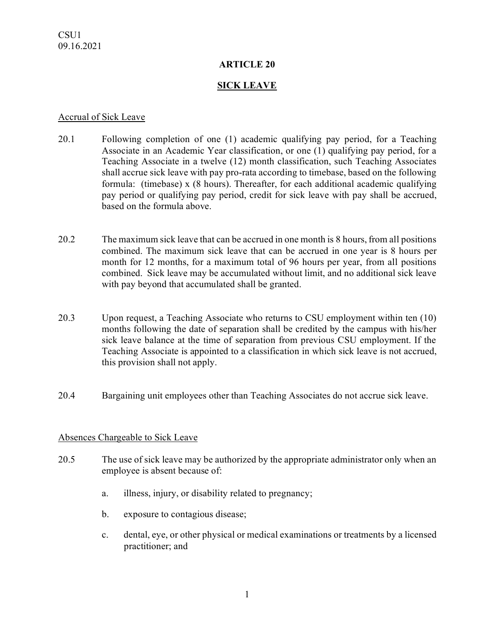### **ARTICLE 20**

## **SICK LEAVE**

#### Accrual of Sick Leave

- 20.1 Following completion of one (1) academic qualifying pay period, for a Teaching Associate in an Academic Year classification, or one (1) qualifying pay period, for a Teaching Associate in a twelve (12) month classification, such Teaching Associates shall accrue sick leave with pay pro-rata according to timebase, based on the following formula: (timebase) x (8 hours). Thereafter, for each additional academic qualifying pay period or qualifying pay period, credit for sick leave with pay shall be accrued, based on the formula above.
- 20.2 The maximum sick leave that can be accrued in one month is 8 hours, from all positions combined. The maximum sick leave that can be accrued in one year is 8 hours per month for 12 months, for a maximum total of 96 hours per year, from all positions combined. Sick leave may be accumulated without limit, and no additional sick leave with pay beyond that accumulated shall be granted.
- 20.3 Upon request, a Teaching Associate who returns to CSU employment within ten (10) months following the date of separation shall be credited by the campus with his/her sick leave balance at the time of separation from previous CSU employment. If the Teaching Associate is appointed to a classification in which sick leave is not accrued, this provision shall not apply.
- 20.4 Bargaining unit employees other than Teaching Associates do not accrue sick leave.

### Absences Chargeable to Sick Leave

- 20.5 The use of sick leave may be authorized by the appropriate administrator only when an employee is absent because of:
	- a. illness, injury, or disability related to pregnancy;
	- b. exposure to contagious disease;
	- c. dental, eye, or other physical or medical examinations or treatments by a licensed practitioner; and